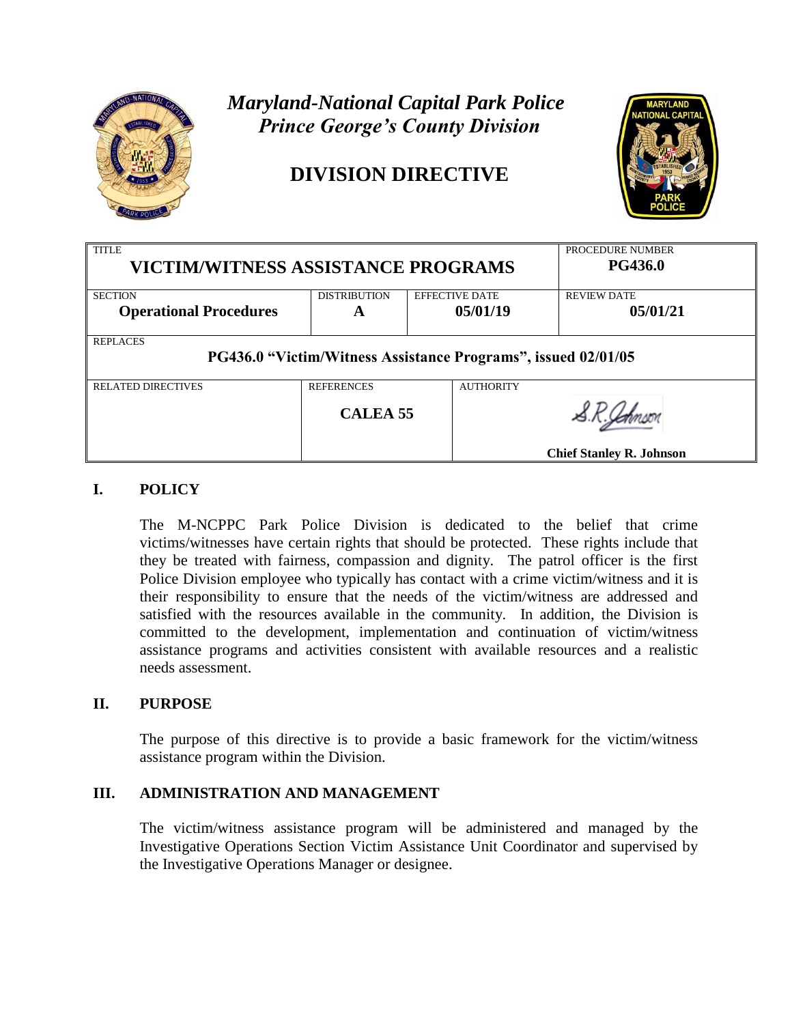

# *Maryland-National Capital Park Police Prince George's County Division*

## **DIVISION DIRECTIVE**



| <b>TITLE</b>                                                  |                     |  |                       | PROCEDURE NUMBER                |
|---------------------------------------------------------------|---------------------|--|-----------------------|---------------------------------|
| <b>VICTIM/WITNESS ASSISTANCE PROGRAMS</b>                     |                     |  |                       | <b>PG436.0</b>                  |
|                                                               |                     |  |                       |                                 |
| <b>SECTION</b>                                                | <b>DISTRIBUTION</b> |  | <b>EFFECTIVE DATE</b> | <b>REVIEW DATE</b>              |
| <b>Operational Procedures</b>                                 | A                   |  | 05/01/19              | 05/01/21                        |
| <b>REPLACES</b>                                               |                     |  |                       |                                 |
|                                                               |                     |  |                       |                                 |
| PG436.0 "Victim/Witness Assistance Programs", issued 02/01/05 |                     |  |                       |                                 |
|                                                               |                     |  |                       |                                 |
| <b>RELATED DIRECTIVES</b>                                     | <b>REFERENCES</b>   |  | <b>AUTHORITY</b>      |                                 |
|                                                               | CALEA <sub>55</sub> |  |                       |                                 |
|                                                               |                     |  |                       | <b>Chief Stanley R. Johnson</b> |

## **I. POLICY**

The M-NCPPC Park Police Division is dedicated to the belief that crime victims/witnesses have certain rights that should be protected. These rights include that they be treated with fairness, compassion and dignity. The patrol officer is the first Police Division employee who typically has contact with a crime victim/witness and it is their responsibility to ensure that the needs of the victim/witness are addressed and satisfied with the resources available in the community. In addition, the Division is committed to the development, implementation and continuation of victim/witness assistance programs and activities consistent with available resources and a realistic needs assessment.

## **II. PURPOSE**

The purpose of this directive is to provide a basic framework for the victim/witness assistance program within the Division.

## **III. ADMINISTRATION AND MANAGEMENT**

The victim/witness assistance program will be administered and managed by the Investigative Operations Section Victim Assistance Unit Coordinator and supervised by the Investigative Operations Manager or designee.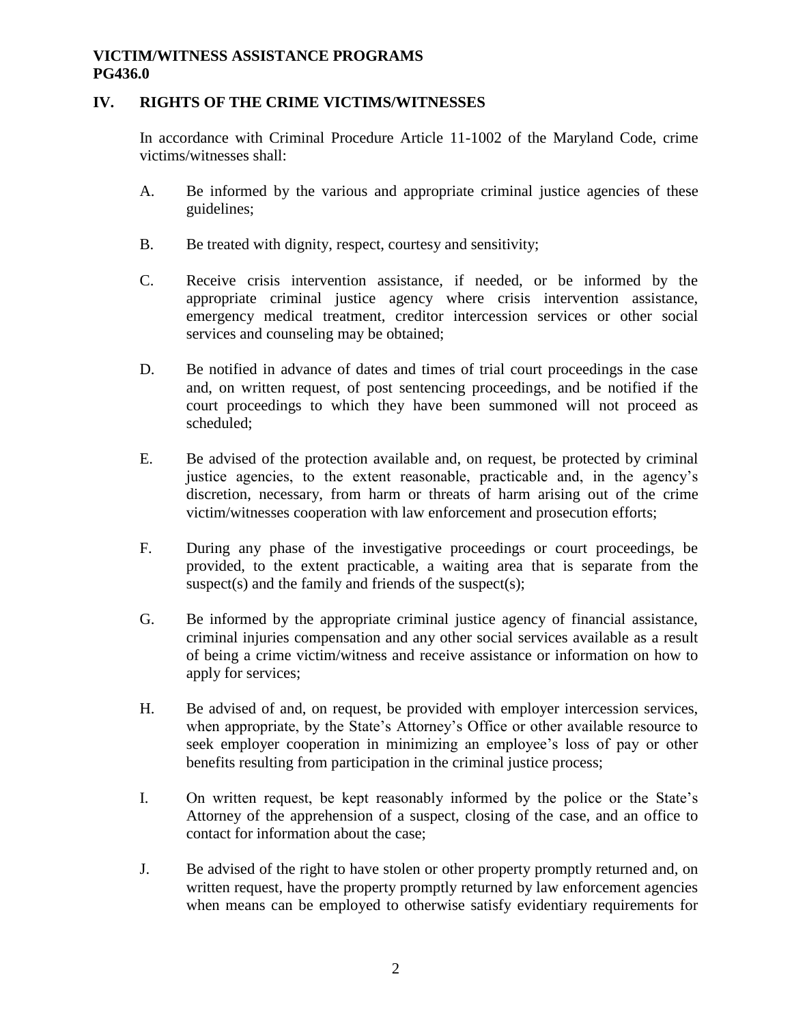## **IV. RIGHTS OF THE CRIME VICTIMS/WITNESSES**

In accordance with Criminal Procedure Article 11-1002 of the Maryland Code, crime victims/witnesses shall:

- A. Be informed by the various and appropriate criminal justice agencies of these guidelines;
- B. Be treated with dignity, respect, courtesy and sensitivity;
- C. Receive crisis intervention assistance, if needed, or be informed by the appropriate criminal justice agency where crisis intervention assistance, emergency medical treatment, creditor intercession services or other social services and counseling may be obtained;
- D. Be notified in advance of dates and times of trial court proceedings in the case and, on written request, of post sentencing proceedings, and be notified if the court proceedings to which they have been summoned will not proceed as scheduled;
- E. Be advised of the protection available and, on request, be protected by criminal justice agencies, to the extent reasonable, practicable and, in the agency's discretion, necessary, from harm or threats of harm arising out of the crime victim/witnesses cooperation with law enforcement and prosecution efforts;
- F. During any phase of the investigative proceedings or court proceedings, be provided, to the extent practicable, a waiting area that is separate from the suspect(s) and the family and friends of the suspect(s);
- G. Be informed by the appropriate criminal justice agency of financial assistance, criminal injuries compensation and any other social services available as a result of being a crime victim/witness and receive assistance or information on how to apply for services;
- H. Be advised of and, on request, be provided with employer intercession services, when appropriate, by the State's Attorney's Office or other available resource to seek employer cooperation in minimizing an employee's loss of pay or other benefits resulting from participation in the criminal justice process;
- I. On written request, be kept reasonably informed by the police or the State's Attorney of the apprehension of a suspect, closing of the case, and an office to contact for information about the case;
- J. Be advised of the right to have stolen or other property promptly returned and, on written request, have the property promptly returned by law enforcement agencies when means can be employed to otherwise satisfy evidentiary requirements for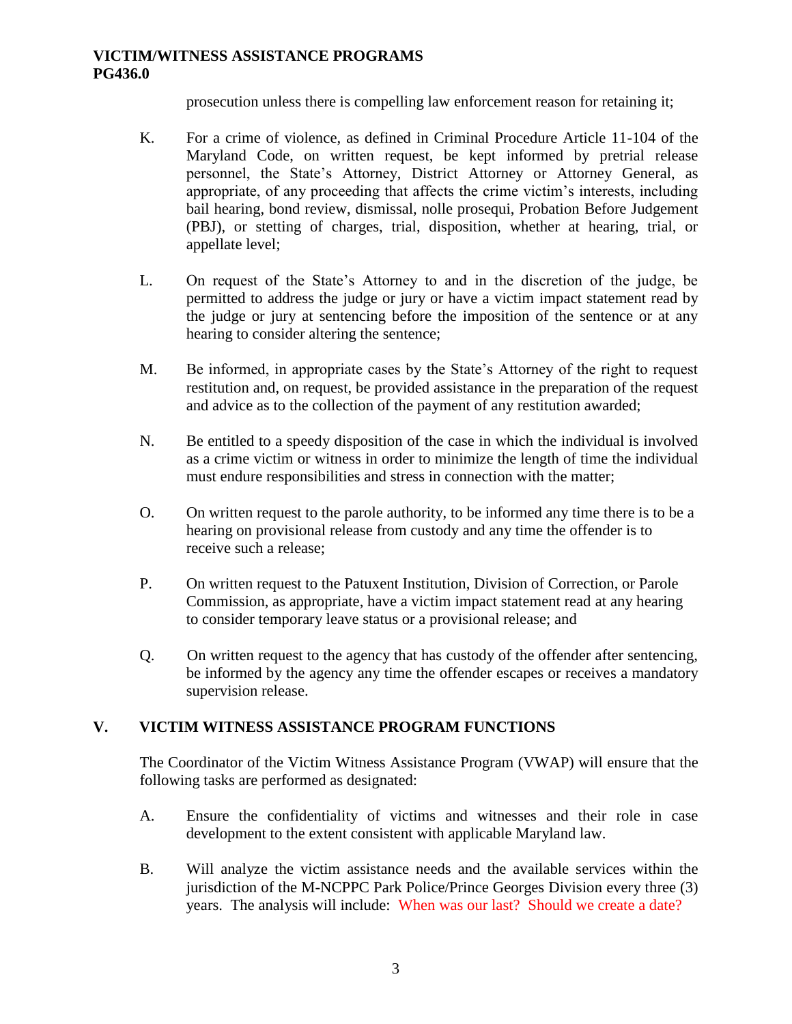prosecution unless there is compelling law enforcement reason for retaining it;

- K. For a crime of violence, as defined in Criminal Procedure Article 11-104 of the Maryland Code, on written request, be kept informed by pretrial release personnel, the State's Attorney, District Attorney or Attorney General, as appropriate, of any proceeding that affects the crime victim's interests, including bail hearing, bond review, dismissal, nolle prosequi, Probation Before Judgement (PBJ), or stetting of charges, trial, disposition, whether at hearing, trial, or appellate level;
- L. On request of the State's Attorney to and in the discretion of the judge, be permitted to address the judge or jury or have a victim impact statement read by the judge or jury at sentencing before the imposition of the sentence or at any hearing to consider altering the sentence;
- M. Be informed, in appropriate cases by the State's Attorney of the right to request restitution and, on request, be provided assistance in the preparation of the request and advice as to the collection of the payment of any restitution awarded;
- N. Be entitled to a speedy disposition of the case in which the individual is involved as a crime victim or witness in order to minimize the length of time the individual must endure responsibilities and stress in connection with the matter;
- O. On written request to the parole authority, to be informed any time there is to be a hearing on provisional release from custody and any time the offender is to receive such a release;
- P. On written request to the Patuxent Institution, Division of Correction, or Parole Commission, as appropriate, have a victim impact statement read at any hearing to consider temporary leave status or a provisional release; and
- Q. On written request to the agency that has custody of the offender after sentencing, be informed by the agency any time the offender escapes or receives a mandatory supervision release.

## **V. VICTIM WITNESS ASSISTANCE PROGRAM FUNCTIONS**

The Coordinator of the Victim Witness Assistance Program (VWAP) will ensure that the following tasks are performed as designated:

- A. Ensure the confidentiality of victims and witnesses and their role in case development to the extent consistent with applicable Maryland law.
- B. Will analyze the victim assistance needs and the available services within the jurisdiction of the M-NCPPC Park Police/Prince Georges Division every three (3) years. The analysis will include: When was our last? Should we create a date?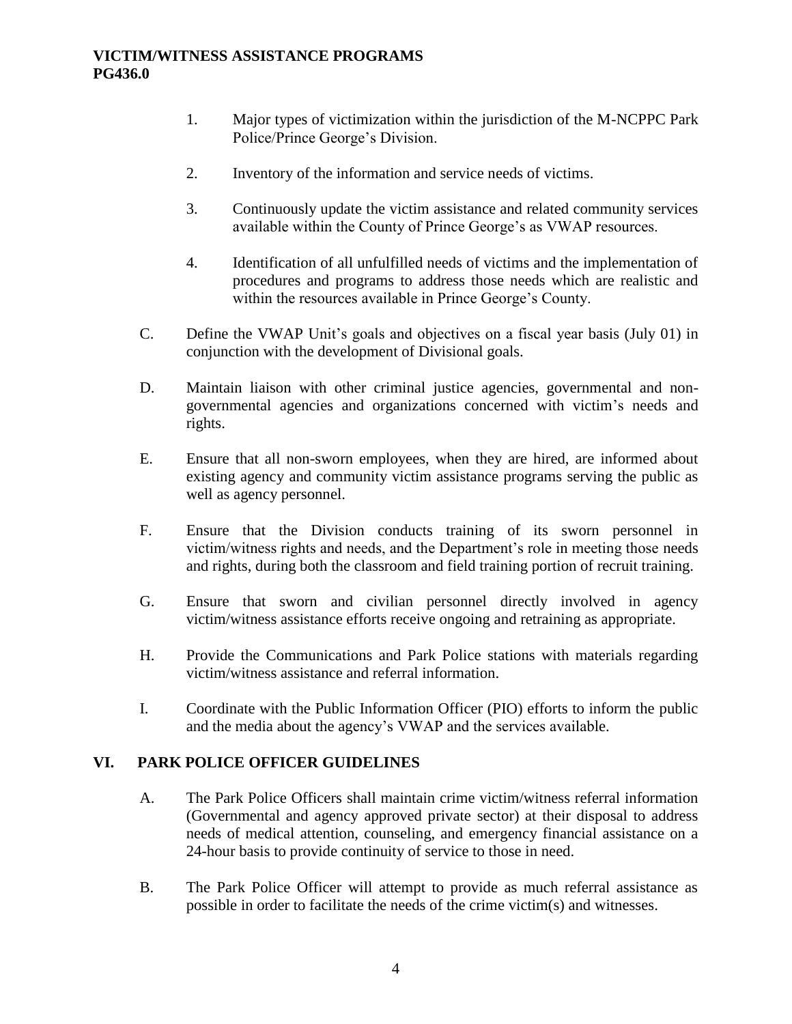- 1. Major types of victimization within the jurisdiction of the M-NCPPC Park Police/Prince George's Division.
- 2. Inventory of the information and service needs of victims.
- 3. Continuously update the victim assistance and related community services available within the County of Prince George's as VWAP resources.
- 4. Identification of all unfulfilled needs of victims and the implementation of procedures and programs to address those needs which are realistic and within the resources available in Prince George's County.
- C. Define the VWAP Unit's goals and objectives on a fiscal year basis (July 01) in conjunction with the development of Divisional goals.
- D. Maintain liaison with other criminal justice agencies, governmental and nongovernmental agencies and organizations concerned with victim's needs and rights.
- E. Ensure that all non-sworn employees, when they are hired, are informed about existing agency and community victim assistance programs serving the public as well as agency personnel.
- F. Ensure that the Division conducts training of its sworn personnel in victim/witness rights and needs, and the Department's role in meeting those needs and rights, during both the classroom and field training portion of recruit training.
- G. Ensure that sworn and civilian personnel directly involved in agency victim/witness assistance efforts receive ongoing and retraining as appropriate.
- H. Provide the Communications and Park Police stations with materials regarding victim/witness assistance and referral information.
- I. Coordinate with the Public Information Officer (PIO) efforts to inform the public and the media about the agency's VWAP and the services available.

## **VI. PARK POLICE OFFICER GUIDELINES**

- A. The Park Police Officers shall maintain crime victim/witness referral information (Governmental and agency approved private sector) at their disposal to address needs of medical attention, counseling, and emergency financial assistance on a 24-hour basis to provide continuity of service to those in need.
- B. The Park Police Officer will attempt to provide as much referral assistance as possible in order to facilitate the needs of the crime victim(s) and witnesses.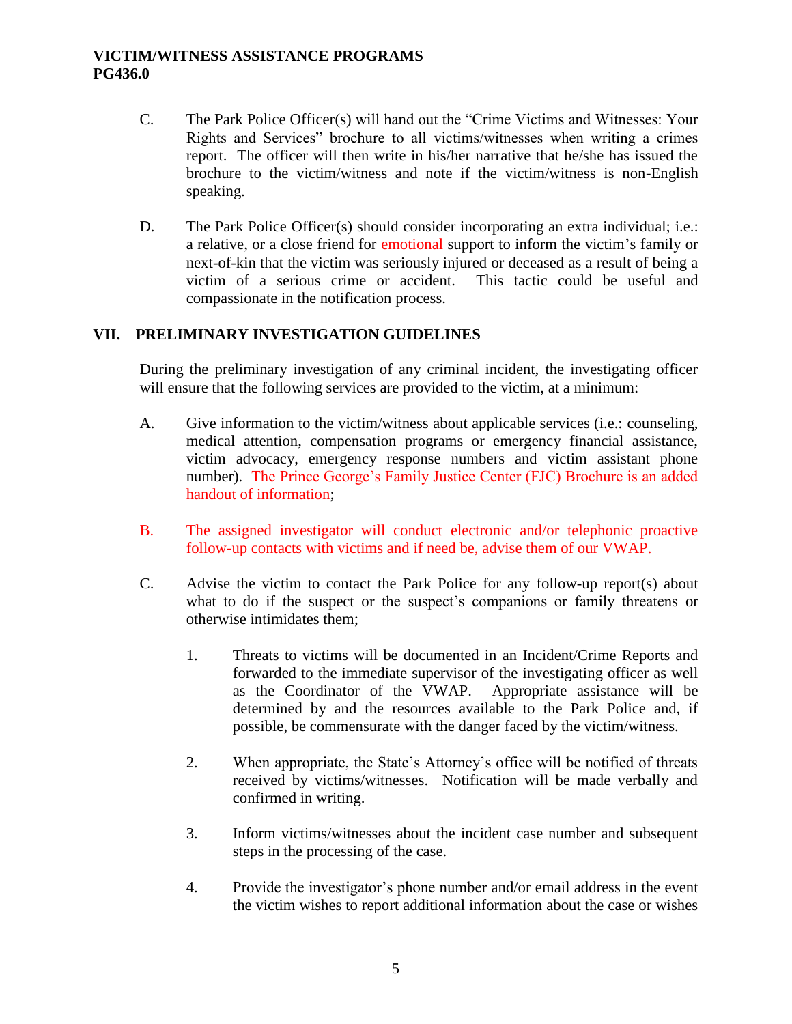- C. The Park Police Officer(s) will hand out the "Crime Victims and Witnesses: Your Rights and Services" brochure to all victims/witnesses when writing a crimes report. The officer will then write in his/her narrative that he/she has issued the brochure to the victim/witness and note if the victim/witness is non-English speaking.
- D. The Park Police Officer(s) should consider incorporating an extra individual; i.e.: a relative, or a close friend for emotional support to inform the victim's family or next-of-kin that the victim was seriously injured or deceased as a result of being a victim of a serious crime or accident. This tactic could be useful and compassionate in the notification process.

#### **VII. PRELIMINARY INVESTIGATION GUIDELINES**

During the preliminary investigation of any criminal incident, the investigating officer will ensure that the following services are provided to the victim, at a minimum:

- A. Give information to the victim/witness about applicable services (i.e.: counseling, medical attention, compensation programs or emergency financial assistance, victim advocacy, emergency response numbers and victim assistant phone number). The Prince George's Family Justice Center (FJC) Brochure is an added handout of information;
- B. The assigned investigator will conduct electronic and/or telephonic proactive follow-up contacts with victims and if need be, advise them of our VWAP.
- C. Advise the victim to contact the Park Police for any follow-up report(s) about what to do if the suspect or the suspect's companions or family threatens or otherwise intimidates them;
	- 1. Threats to victims will be documented in an Incident/Crime Reports and forwarded to the immediate supervisor of the investigating officer as well as the Coordinator of the VWAP. Appropriate assistance will be determined by and the resources available to the Park Police and, if possible, be commensurate with the danger faced by the victim/witness.
	- 2. When appropriate, the State's Attorney's office will be notified of threats received by victims/witnesses. Notification will be made verbally and confirmed in writing.
	- 3. Inform victims/witnesses about the incident case number and subsequent steps in the processing of the case.
	- 4. Provide the investigator's phone number and/or email address in the event the victim wishes to report additional information about the case or wishes